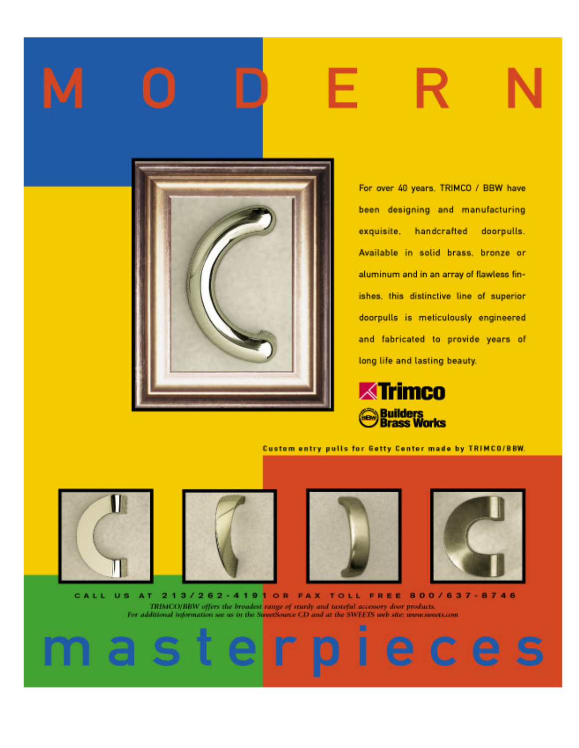

For over 40 years, TRIMCO / BBW have been designing and manufacturing exquisite, handcrafted doorpulls. Available in solid brass, bronze or aluminum and in an array of flawless finishes, this distinctive line of superior doorpulls is meticulously engineered and fabricated to provide years of long life and lasting beauty.



Custom entry pulls for Getty Center made by TRIMCO/BBW.









le ces

CALL US AT 213/262-4191 OR FAX TOLL FREE 800/637-8746 TRIMCO/BBW offers the broadest range of sturdy and tasteful accessory door products.<br>For additional information see us in the SweetSource CD and at the SWEETS web site: www.sweets.com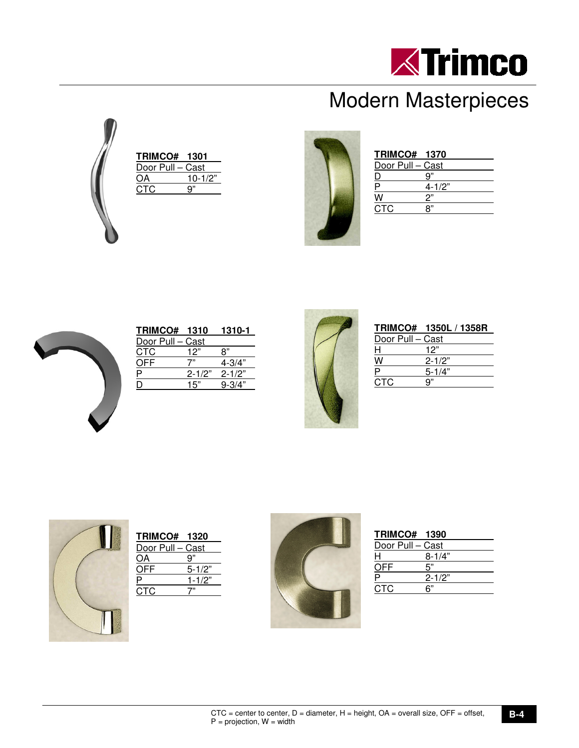

## Modern Masterpieces



| <b>TRIMCO# 1301</b> |             |
|---------------------|-------------|
| Door Pull - Cast    |             |
| )А                  | $10 - 1/2"$ |
| CTC.                | q"          |
|                     |             |
|                     |             |



|                  | <b>TRIMCO# 1370</b> |  |
|------------------|---------------------|--|
| Door Pull - Cast |                     |  |
|                  | a"                  |  |
|                  | $4 - 1/2"$          |  |
|                  | יימ                 |  |
| CTC.             |                     |  |
|                  |                     |  |



| <b>TRIMCO# 1310</b> |     | 1310-1            |
|---------------------|-----|-------------------|
| Door Pull - Cast    |     |                   |
| <b>CTC</b>          | 12" | "א                |
| つFF                 |     | $4 - 3/4"$        |
|                     |     | $2 - 1/2"$ 2-1/2" |
|                     | 15" | $9 - 3/4"$        |
|                     |     |                   |



|                  | TRIMCO# 1350L / 1358R |  |
|------------------|-----------------------|--|
| Door Pull - Cast |                       |  |
| Н                | 12"                   |  |
|                  | $2 - 1/2"$            |  |
|                  | $5 - 1/4"$            |  |
| CTC.             |                       |  |
|                  |                       |  |



| <b>TRIMCO# 1320</b> |            |
|---------------------|------------|
| Door Pull – Cast    |            |
| ΟA                  | 9"         |
| OFF                 | $5 - 1/2"$ |
|                     | $1 - 1/2"$ |
| стс                 |            |
|                     |            |



|                  | <b>TRIMCO# 1390</b> |  |
|------------------|---------------------|--|
| Door Pull - Cast |                     |  |
| н                | $8 - 1/4"$          |  |
| OFF              | 5"                  |  |
|                  | $2 - 1/2"$          |  |
| C.TC             |                     |  |
|                  |                     |  |